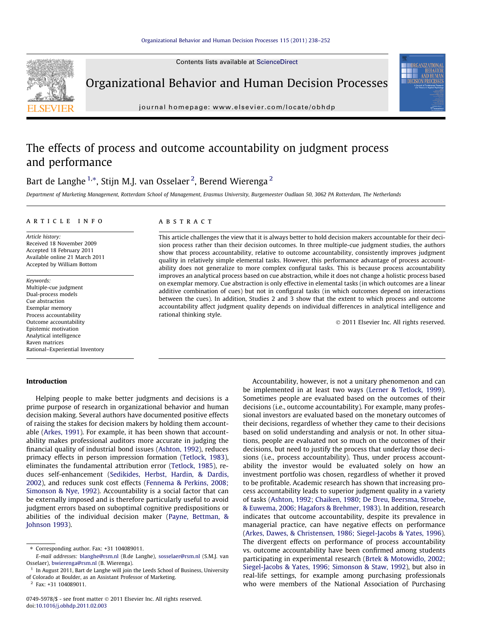Contents lists available at [ScienceDirect](http://www.sciencedirect.com/science/journal/07495978)



Organizational Behavior and Human Decision Processes

journal homepage: [www.elsevier.com/locate/obhdp](http://www.elsevier.com/locate/obhdp)

# The effects of process and outcome accountability on judgment process and performance

Bart de Langhe $^{1,\ast}$ , Stijn M.J. van Osselaer $^2$ , Berend Wierenga $^2$ 

Department of Marketing Management, Rotterdam School of Management, Erasmus University, Burgemeester Oudlaan 50, 3062 PA Rotterdam, The Netherlands

## article info

Article history: Received 18 November 2009 Accepted 18 February 2011 Available online 21 March 2011 Accepted by William Bottom

Keywords: Multiple-cue judgment Dual-process models Cue abstraction Exemplar memory Process accountability Outcome accountability Epistemic motivation Analytical intelligence Raven matrices Rational–Experiential Inventory

## Introduction

Helping people to make better judgments and decisions is a prime purpose of research in organizational behavior and human decision making. Several authors have documented positive effects of raising the stakes for decision makers by holding them accountable [\(Arkes, 1991](#page-13-0)). For example, it has been shown that accountability makes professional auditors more accurate in judging the financial quality of industrial bond issues ([Ashton, 1992\)](#page-13-0), reduces primacy effects in person impression formation ([Tetlock, 1983\)](#page-14-0), eliminates the fundamental attribution error ([Tetlock, 1985\)](#page-14-0), reduces self-enhancement ([Sedikides, Herbst, Hardin, & Dardis,](#page-14-0) [2002\)](#page-14-0), and reduces sunk cost effects ([Fennema & Perkins, 2008;](#page-13-0) [Simonson & Nye, 1992](#page-13-0)). Accountability is a social factor that can be externally imposed and is therefore particularly useful to avoid judgment errors based on suboptimal cognitive predispositions or abilities of the individual decision maker [\(Payne, Bettman, &](#page-13-0) [Johnson 1993\)](#page-13-0).

# ABSTRACT

This article challenges the view that it is always better to hold decision makers accountable for their decision process rather than their decision outcomes. In three multiple-cue judgment studies, the authors show that process accountability, relative to outcome accountability, consistently improves judgment quality in relatively simple elemental tasks. However, this performance advantage of process accountability does not generalize to more complex configural tasks. This is because process accountability improves an analytical process based on cue abstraction, while it does not change a holistic process based on exemplar memory. Cue abstraction is only effective in elemental tasks (in which outcomes are a linear additive combination of cues) but not in configural tasks (in which outcomes depend on interactions between the cues). In addition, Studies 2 and 3 show that the extent to which process and outcome accountability affect judgment quality depends on individual differences in analytical intelligence and rational thinking style.

- 2011 Elsevier Inc. All rights reserved.

Accountability, however, is not a unitary phenomenon and can be implemented in at least two ways ([Lerner & Tetlock, 1999\)](#page-13-0). Sometimes people are evaluated based on the outcomes of their decisions (i.e., outcome accountability). For example, many professional investors are evaluated based on the monetary outcomes of their decisions, regardless of whether they came to their decisions based on solid understanding and analysis or not. In other situations, people are evaluated not so much on the outcomes of their decisions, but need to justify the process that underlay those decisions (i.e., process accountability). Thus, under process accountability the investor would be evaluated solely on how an investment portfolio was chosen, regardless of whether it proved to be profitable. Academic research has shown that increasing process accountability leads to superior judgment quality in a variety of tasks [\(Ashton, 1992; Chaiken, 1980; De Dreu, Beersma, Stroebe,](#page-13-0) [& Euwema, 2006; Hagafors & Brehmer, 1983\)](#page-13-0). In addition, research indicates that outcome accountability, despite its prevalence in managerial practice, can have negative effects on performance ([Arkes, Dawes, & Christensen, 1986; Siegel-Jacobs & Yates, 1996\)](#page-13-0). The divergent effects on performance of process accountability vs. outcome accountability have been confirmed among students participating in experimental research ([Brtek & Motowidlo, 2002;](#page-13-0) [Siegel-Jacobs & Yates, 1996; Simonson & Staw, 1992\)](#page-13-0), but also in real-life settings, for example among purchasing professionals who were members of the National Association of Purchasing

 $*$  Corresponding author. Fax:  $+31$  104089011.

E-mail addresses: [blanghe@rsm.nl](mailto:blanghe@rsm.nl) (B.de Langhe), [sosselaer@rsm.nl](mailto:sosselaer@rsm.nl) (S.M.J. van Osselaer), [bwierenga@rsm.nl](mailto:bwierenga@rsm.nl) (B. Wierenga).

 $1$  In August 2011, Bart de Langhe will join the Leeds School of Business, University of Colorado at Boulder, as an Assistant Professor of Marketing.

<sup>2</sup> Fax: +31 104089011.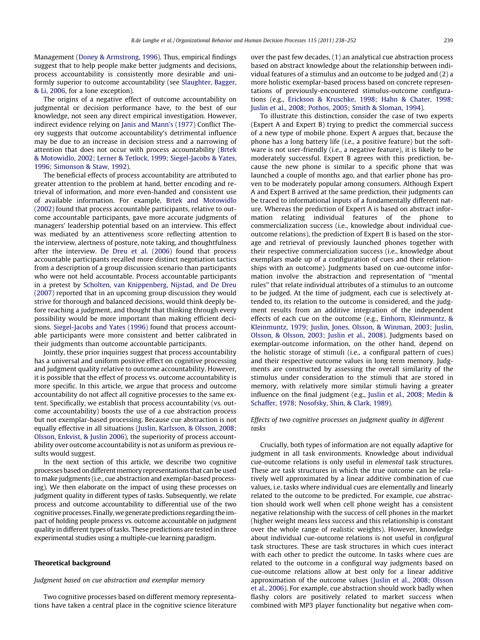Management ([Doney & Armstrong, 1996\)](#page-13-0). Thus, empirical findings suggest that to help people make better judgments and decisions, process accountability is consistently more desirable and uniformly superior to outcome accountability (see [Slaughter, Bagger,](#page-14-0) [& Li, 2006,](#page-14-0) for a lone exception).

The origins of a negative effect of outcome accountability on judgmental or decision performance have, to the best of our knowledge, not seen any direct empirical investigation. However, indirect evidence relying on [Janis and Mann's \(1977\)](#page-13-0) Conflict Theory suggests that outcome accountability's detrimental influence may be due to an increase in decision stress and a narrowing of attention that does not occur with process accountability [\(Brtek](#page-13-0) [& Motowidlo, 2002; Lerner & Tetlock, 1999; Siegel-Jacobs & Yates,](#page-13-0) [1996; Simonson & Staw, 1992](#page-13-0)).

The beneficial effects of process accountability are attributed to greater attention to the problem at hand, better encoding and retrieval of information, and more even-handed and consistent use of available information. For example, [Brtek and Motowidlo](#page-13-0) [\(2002\)](#page-13-0) found that process accountable participants, relative to outcome accountable participants, gave more accurate judgments of managers' leadership potential based on an interview. This effect was mediated by an attentiveness score reflecting attention to the interview, alertness of posture, note taking, and thoughtfulness after the interview. [De Dreu et al. \(2006\)](#page-13-0) found that process accountable participants recalled more distinct negotiation tactics from a description of a group discussion scenario than participants who were not held accountable. Process accountable participants in a pretest by [Scholten, van Knippenberg, Nijstad, and De Dreu](#page-14-0) [\(2007\)](#page-14-0) reported that in an upcoming group discussion they would strive for thorough and balanced decisions, would think deeply before reaching a judgment, and thought that thinking through every possibility would be more important than making efficient decisions. [Siegel-Jacobs and Yates \(1996\)](#page-14-0) found that process accountable participants were more consistent and better calibrated in their judgments than outcome accountable participants.

Jointly, these prior inquiries suggest that process accountability has a universal and uniform positive effect on cognitive processing and judgment quality relative to outcome accountability. However, it is possible that the effect of process vs. outcome accountability is more specific. In this article, we argue that process and outcome accountability do not affect all cognitive processes to the same extent. Specifically, we establish that process accountability (vs. outcome accountability) boosts the use of a cue abstraction process but not exemplar-based processing. Because cue abstraction is not equally effective in all situations ([Juslin, Karlsson, & Olsson, 2008;](#page-13-0) [Olsson, Enkvist, & Juslin 2006](#page-13-0)), the superiority of process accountability over outcome accountability is not as uniform as previous results would suggest.

In the next section of this article, we describe two cognitive processes based on different memory representations that can be used to make judgments (i.e., cue abstraction and exemplar-based processing). We then elaborate on the impact of using these processes on judgment quality in different types of tasks. Subsequently, we relate process and outcome accountability to differential use of the two cognitive processes. Finally,we generate predictions regarding the impact of holding people process vs. outcome accountable on judgment quality in different types of tasks. These predictions are tested in three experimental studies using a multiple-cue learning paradigm.

# Theoretical background

# Judgment based on cue abstraction and exemplar memory

Two cognitive processes based on different memory representations have taken a central place in the cognitive science literature

over the past few decades, (1) an analytical cue abstraction process based on abstract knowledge about the relationship between individual features of a stimulus and an outcome to be judged and (2) a more holistic exemplar-based process based on concrete representations of previously-encountered stimulus-outcome configurations (e.g., [Erickson & Kruschke, 1998; Hahn & Chater, 1998;](#page-13-0) [Juslin et al., 2008; Pothos, 2005; Smith & Sloman, 1994](#page-13-0)).

To illustrate this distinction, consider the case of two experts (Expert A and Expert B) trying to predict the commercial success of a new type of mobile phone. Expert A argues that, because the phone has a long battery life (i.e., a positive feature) but the software is not user-friendly (i.e., a negative feature), it is likely to be moderately successful. Expert B agrees with this prediction, because the new phone is similar to a specific phone that was launched a couple of months ago, and that earlier phone has proven to be moderately popular among consumers. Although Expert A and Expert B arrived at the same prediction, their judgments can be traced to informational inputs of a fundamentally different nature. Whereas the prediction of Expert A is based on abstract information relating individual features of the phone to commercialization success (i.e., knowledge about individual cueoutcome relations), the prediction of Expert B is based on the storage and retrieval of previously launched phones together with their respective commercialization success (i.e., knowledge about exemplars made up of a configuration of cues and their relationships with an outcome). Judgments based on cue-outcome information involve the abstraction and representation of ''mental rules'' that relate individual attributes of a stimulus to an outcome to be judged. At the time of judgment, each cue is selectively attended to, its relation to the outcome is considered, and the judgment results from an additive integration of the independent effects of each cue on the outcome (e.g., [Einhorn, Kleinmuntz, &](#page-13-0) [Kleinmuntz, 1979; Juslin, Jones, Olsson, & Winman, 2003; Juslin,](#page-13-0) [Olsson, & Olsson, 2003; Juslin et al., 2008](#page-13-0)). Judgments based on exemplar-outcome information, on the other hand, depend on the holistic storage of stimuli (i.e., a configural pattern of cues) and their respective outcome values in long term memory. Judgments are constructed by assessing the overall similarity of the stimulus under consideration to the stimuli that are stored in memory, with relatively more similar stimuli having a greater influence on the final judgment (e.g., [Juslin et al., 2008; Medin &](#page-13-0) [Schaffer, 1978; Nosofsky, Shin, & Clark, 1989](#page-13-0)).

# Effects of two cognitive processes on judgment quality in different tasks

Crucially, both types of information are not equally adaptive for judgment in all task environments. Knowledge about individual cue-outcome relations is only useful in elemental task structures. These are task structures in which the true outcome can be relatively well approximated by a linear additive combination of cue values, i.e. tasks where individual cues are elementally and linearly related to the outcome to be predicted. For example, cue abstraction should work well when cell phone weight has a consistent negative relationship with the success of cell phones in the market (higher weight means less success and this relationship is constant over the whole range of realistic weights). However, knowledge about individual cue-outcome relations is not useful in configural task structures. These are task structures in which cues interact with each other to predict the outcome. In tasks where cues are related to the outcome in a configural way judgments based on cue-outcome relations allow at best only for a linear additive approximation of the outcome values [\(Juslin et al., 2008; Olsson](#page-13-0) [et al., 2006](#page-13-0)). For example, cue abstraction should work badly when flashy colors are positively related to market success when combined with MP3 player functionality but negative when com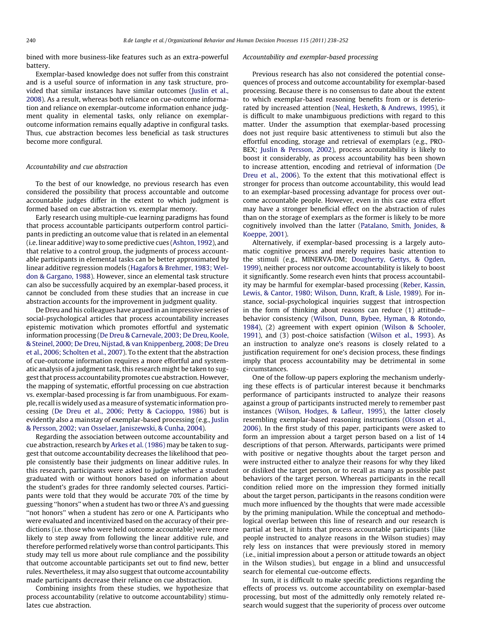bined with more business-like features such as an extra-powerful battery.

Exemplar-based knowledge does not suffer from this constraint and is a useful source of information in any task structure, provided that similar instances have similar outcomes ([Juslin et al.,](#page-13-0) [2008\)](#page-13-0). As a result, whereas both reliance on cue-outcome information and reliance on exemplar-outcome information enhance judgment quality in elemental tasks, only reliance on exemplaroutcome information remains equally adaptive in configural tasks. Thus, cue abstraction becomes less beneficial as task structures become more configural.

# Accountability and cue abstraction

To the best of our knowledge, no previous research has even considered the possibility that process accountable and outcome accountable judges differ in the extent to which judgment is formed based on cue abstraction vs. exemplar memory.

Early research using multiple-cue learning paradigms has found that process accountable participants outperform control participants in predicting an outcome value that is related in an elemental (i.e. linear additive) way to some predictive cues [\(Ashton, 1992](#page-13-0)), and that relative to a control group, the judgments of process accountable participants in elemental tasks can be better approximated by linear additive regression models [\(Hagafors & Brehmer, 1983; Wel](#page-13-0)[don & Gargano, 1988\)](#page-13-0). However, since an elemental task structure can also be successfully acquired by an exemplar-based process, it cannot be concluded from these studies that an increase in cue abstraction accounts for the improvement in judgment quality.

De Dreu and his colleagues have argued in an impressive series of social-psychological articles that process accountability increases epistemic motivation which promotes effortful and systematic information processing ([De Dreu & Carnevale, 2003; De Dreu, Koole,](#page-13-0) [& Steinel, 2000; De Dreu, Nijstad, & van Knippenberg, 2008; De Dreu](#page-13-0) [et al., 2006; Scholten et al., 2007\)](#page-13-0). To the extent that the abstraction of cue-outcome information requires a more effortful and systematic analysis of a judgment task, this research might be taken to suggest that process accountability promotes cue abstraction. However, the mapping of systematic, effortful processing on cue abstraction vs. exemplar-based processing is far from unambiguous. For example, recall is widely used as a measure of systematic information processing ([De Dreu et al., 2006; Petty & Cacioppo, 1986\)](#page-13-0) but is evidently also a mainstay of exemplar-based processing (e.g., [Juslin](#page-13-0) [& Persson, 2002; van Osselaer, Janiszewski, & Cunha, 2004\)](#page-13-0).

Regarding the association between outcome accountability and cue abstraction, research by [Arkes et al. \(1986\)](#page-13-0) may be taken to suggest that outcome accountability decreases the likelihood that people consistently base their judgments on linear additive rules. In this research, participants were asked to judge whether a student graduated with or without honors based on information about the student's grades for three randomly selected courses. Participants were told that they would be accurate 70% of the time by guessing ''honors'' when a student has two or three A's and guessing "not honors" when a student has zero or one A. Participants who were evaluated and incentivized based on the accuracy of their predictions (i.e. those who were held outcome accountable) were more likely to step away from following the linear additive rule, and therefore performed relatively worse than control participants. This study may tell us more about rule compliance and the possibility that outcome accountable participants set out to find new, better rules. Nevertheless, it may also suggest that outcome accountability made participants decrease their reliance on cue abstraction.

Combining insights from these studies, we hypothesize that process accountability (relative to outcome accountability) stimulates cue abstraction.

#### Accountability and exemplar-based processing

Previous research has also not considered the potential consequences of process and outcome accountability for exemplar-based processing. Because there is no consensus to date about the extent to which exemplar-based reasoning benefits from or is deteriorated by increased attention [\(Neal, Hesketh, & Andrews, 1995](#page-13-0)), it is difficult to make unambiguous predictions with regard to this matter. Under the assumption that exemplar-based processing does not just require basic attentiveness to stimuli but also the effortful encoding, storage and retrieval of exemplars (e.g., PRO-BEX; [Juslin & Persson, 2002\)](#page-13-0), process accountability is likely to boost it considerably, as process accountability has been shown to increase attention, encoding and retrieval of information ([De](#page-13-0) [Dreu et al., 2006\)](#page-13-0). To the extent that this motivational effect is stronger for process than outcome accountability, this would lead to an exemplar-based processing advantage for process over outcome accountable people. However, even in this case extra effort may have a stronger beneficial effect on the abstraction of rules than on the storage of exemplars as the former is likely to be more cognitively involved than the latter ([Patalano, Smith, Jonides, &](#page-13-0) [Koeppe, 2001](#page-13-0)).

Alternatively, if exemplar-based processing is a largely automatic cognitive process and merely requires basic attention to the stimuli (e.g., MINERVA-DM; [Dougherty, Gettys, & Ogden,](#page-13-0) [1999\)](#page-13-0), neither process nor outcome accountability is likely to boost it significantly. Some research even hints that process accountability may be harmful for exemplar-based processing [\(Reber, Kassin,](#page-13-0) [Lewis, & Cantor, 1980; Wilson, Dunn, Kraft, & Lisle, 1989](#page-13-0)). For instance, social-psychological inquiries suggest that introspection in the form of thinking about reasons can reduce (1) attitude– behavior consistency [\(Wilson, Dunn, Bybee, Hyman, & Rotondo,](#page-14-0) [1984\)](#page-14-0), (2) agreement with expert opinion [\(Wilson & Schooler,](#page-14-0) [1991\)](#page-14-0), and (3) post-choice satisfaction ([Wilson et al., 1993\)](#page-14-0). As an instruction to analyze one's reasons is closely related to a justification requirement for one's decision process, these findings imply that process accountability may be detrimental in some circumstances.

One of the follow-up papers exploring the mechanism underlying these effects is of particular interest because it benchmarks performance of participants instructed to analyze their reasons against a group of participants instructed merely to remember past instances ([Wilson, Hodges, & Lafleur, 1995\)](#page-14-0), the latter closely resembling exemplar-based reasoning instructions ([Olsson et al.,](#page-13-0) [2006\)](#page-13-0). In the first study of this paper, participants were asked to form an impression about a target person based on a list of 14 descriptions of that person. Afterwards, participants were primed with positive or negative thoughts about the target person and were instructed either to analyze their reasons for why they liked or disliked the target person, or to recall as many as possible past behaviors of the target person. Whereas participants in the recall condition relied more on the impression they formed initially about the target person, participants in the reasons condition were much more influenced by the thoughts that were made accessible by the priming manipulation. While the conceptual and methodological overlap between this line of research and our research is partial at best, it hints that process accountable participants (like people instructed to analyze reasons in the Wilson studies) may rely less on instances that were previously stored in memory (i.e., initial impression about a person or attitude towards an object in the Wilson studies), but engage in a blind and unsuccessful search for elemental cue-outcome effects.

In sum, it is difficult to make specific predictions regarding the effects of process vs. outcome accountability on exemplar-based processing, but most of the admittedly only remotely related research would suggest that the superiority of process over outcome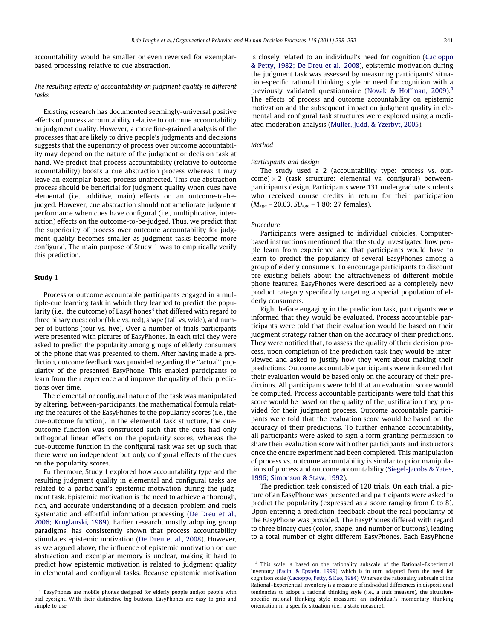accountability would be smaller or even reversed for exemplarbased processing relative to cue abstraction.

# The resulting effects of accountability on judgment quality in different tasks

Existing research has documented seemingly-universal positive effects of process accountability relative to outcome accountability on judgment quality. However, a more fine-grained analysis of the processes that are likely to drive people's judgments and decisions suggests that the superiority of process over outcome accountability may depend on the nature of the judgment or decision task at hand. We predict that process accountability (relative to outcome accountability) boosts a cue abstraction process whereas it may leave an exemplar-based process unaffected. This cue abstraction process should be beneficial for judgment quality when cues have elemental (i.e., additive, main) effects on an outcome-to-bejudged. However, cue abstraction should not ameliorate judgment performance when cues have configural (i.e., multiplicative, interaction) effects on the outcome-to-be-judged. Thus, we predict that the superiority of process over outcome accountability for judgment quality becomes smaller as judgment tasks become more configural. The main purpose of Study 1 was to empirically verify this prediction.

# Study 1

Process or outcome accountable participants engaged in a multiple-cue learning task in which they learned to predict the popularity (i.e., the outcome) of EasyPhones<sup>3</sup> that differed with regard to three binary cues: color (blue vs. red), shape (tall vs. wide), and number of buttons (four vs. five). Over a number of trials participants were presented with pictures of EasyPhones. In each trial they were asked to predict the popularity among groups of elderly consumers of the phone that was presented to them. After having made a prediction, outcome feedback was provided regarding the ''actual'' popularity of the presented EasyPhone. This enabled participants to learn from their experience and improve the quality of their predictions over time.

The elemental or configural nature of the task was manipulated by altering, between-participants, the mathematical formula relating the features of the EasyPhones to the popularity scores (i.e., the cue-outcome function). In the elemental task structure, the cueoutcome function was constructed such that the cues had only orthogonal linear effects on the popularity scores, whereas the cue-outcome function in the configural task was set up such that there were no independent but only configural effects of the cues on the popularity scores.

Furthermore, Study 1 explored how accountability type and the resulting judgment quality in elemental and configural tasks are related to a participant's epistemic motivation during the judgment task. Epistemic motivation is the need to achieve a thorough, rich, and accurate understanding of a decision problem and fuels systematic and effortful information processing [\(De Dreu et al.,](#page-13-0) [2006; Kruglanski, 1989](#page-13-0)). Earlier research, mostly adopting group paradigms, has consistently shown that process accountability stimulates epistemic motivation [\(De Dreu et al., 2008\)](#page-13-0). However, as we argued above, the influence of epistemic motivation on cue abstraction and exemplar memory is unclear, making it hard to predict how epistemic motivation is related to judgment quality in elemental and configural tasks. Because epistemic motivation is closely related to an individual's need for cognition [\(Cacioppo](#page-13-0) [& Petty, 1982; De Dreu et al., 2008](#page-13-0)), epistemic motivation during the judgment task was assessed by measuring participants' situation-specific rational thinking style or need for cognition with a previously validated questionnaire ([Novak & Hoffman, 2009](#page-13-0)).4 The effects of process and outcome accountability on epistemic motivation and the subsequent impact on judgment quality in elemental and configural task structures were explored using a mediated moderation analysis ([Muller, Judd, & Yzerbyt, 2005\)](#page-13-0).

## Method

#### Participants and design

The study used a 2 (accountability type: process vs. outcome)  $\times$  2 (task structure: elemental vs. configural) betweenparticipants design. Participants were 131 undergraduate students who received course credits in return for their participation  $(M<sub>age</sub> = 20.63, SD<sub>age</sub> = 1.80; 27 females).$ 

#### Procedure

Participants were assigned to individual cubicles. Computerbased instructions mentioned that the study investigated how people learn from experience and that participants would have to learn to predict the popularity of several EasyPhones among a group of elderly consumers. To encourage participants to discount pre-existing beliefs about the attractiveness of different mobile phone features, EasyPhones were described as a completely new product category specifically targeting a special population of elderly consumers.

Right before engaging in the prediction task, participants were informed that they would be evaluated. Process accountable participants were told that their evaluation would be based on their judgment strategy rather than on the accuracy of their predictions. They were notified that, to assess the quality of their decision process, upon completion of the prediction task they would be interviewed and asked to justify how they went about making their predictions. Outcome accountable participants were informed that their evaluation would be based only on the accuracy of their predictions. All participants were told that an evaluation score would be computed. Process accountable participants were told that this score would be based on the quality of the justification they provided for their judgment process. Outcome accountable participants were told that the evaluation score would be based on the accuracy of their predictions. To further enhance accountability, all participants were asked to sign a form granting permission to share their evaluation score with other participants and instructors once the entire experiment had been completed. This manipulation of process vs. outcome accountability is similar to prior manipulations of process and outcome accountability ([Siegel-Jacobs & Yates,](#page-14-0) [1996; Simonson & Staw, 1992](#page-14-0)).

The prediction task consisted of 120 trials. On each trial, a picture of an EasyPhone was presented and participants were asked to predict the popularity (expressed as a score ranging from 0 to 8). Upon entering a prediction, feedback about the real popularity of the EasyPhone was provided. The EasyPhones differed with regard to three binary cues (color, shape, and number of buttons), leading to a total number of eight different EasyPhones. Each EasyPhone

<sup>&</sup>lt;sup>3</sup> EasyPhones are mobile phones designed for elderly people and/or people with bad eyesight. With their distinctive big buttons, EasyPhones are easy to grip and simple to use.

<sup>4</sup> This scale is based on the rationality subscale of the Rational–Experiential Inventory ([Pacini & Epstein, 1999](#page-13-0)), which is in turn adapted from the need for cognition scale [\(Cacioppo, Petty, & Kao, 1984\)](#page-13-0). Whereas the rationality subscale of the Rational–Experiential Inventory is a measure of individual differences in dispositional tendencies to adopt a rational thinking style (i.e., a trait measure), the situationspecific rational thinking style measures an individual's momentary thinking orientation in a specific situation (i.e., a state measure).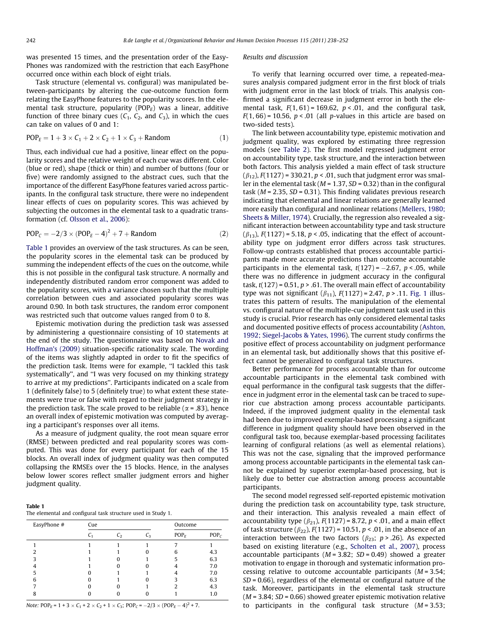was presented 15 times, and the presentation order of the Easy-Phones was randomized with the restriction that each EasyPhone occurred once within each block of eight trials.

Task structure (elemental vs. configural) was manipulated between-participants by altering the cue-outcome function form relating the EasyPhone features to the popularity scores. In the elemental task structure, popularity (POP $<sub>E</sub>$ ) was a linear, additive</sub> function of three binary cues  $(C_1, C_2,$  and  $C_3)$ , in which the cues can take on values of 0 and 1:

$$
POP_E = 1 + 3 \times C_1 + 2 \times C_2 + 1 \times C_3 + Random \tag{1}
$$

Thus, each individual cue had a positive, linear effect on the popularity scores and the relative weight of each cue was different. Color (blue or red), shape (thick or thin) and number of buttons (four or five) were randomly assigned to the abstract cues, such that the importance of the different EasyPhone features varied across participants. In the configural task structure, there were no independent linear effects of cues on popularity scores. This was achieved by subjecting the outcomes in the elemental task to a quadratic transformation (cf. [Olsson et al., 2006\)](#page-13-0):

$$
POPC = -2/3 \times (POPE - 4)2 + 7 + Random
$$
 (2)

Table 1 provides an overview of the task structures. As can be seen, the popularity scores in the elemental task can be produced by summing the independent effects of the cues on the outcome, while this is not possible in the configural task structure. A normally and independently distributed random error component was added to the popularity scores, with a variance chosen such that the multiple correlation between cues and associated popularity scores was around 0.90. In both task structures, the random error component was restricted such that outcome values ranged from 0 to 8.

Epistemic motivation during the prediction task was assessed by administering a questionnaire consisting of 10 statements at the end of the study. The questionnaire was based on [Novak and](#page-13-0) [Hoffman's \(2009\)](#page-13-0) situation-specific rationality scale. The wording of the items was slightly adapted in order to fit the specifics of the prediction task. Items were for example, "I tackled this task systematically'', and ''I was very focused on my thinking strategy to arrive at my predictions''. Participants indicated on a scale from 1 (definitely false) to 5 (definitely true) to what extent these statements were true or false with regard to their judgment strategy in the prediction task. The scale proved to be reliable ( $\alpha$  = .83), hence an overall index of epistemic motivation was computed by averaging a participant's responses over all items.

As a measure of judgment quality, the root mean square error (RMSE) between predicted and real popularity scores was computed. This was done for every participant for each of the 15 blocks. An overall index of judgment quality was then computed collapsing the RMSEs over the 15 blocks. Hence, in the analyses below lower scores reflect smaller judgment errors and higher judgment quality.

| ٠ |  |
|---|--|
|---|--|

| The elemental and configural task structure used in Study 1. |  |  |  |  |
|--------------------------------------------------------------|--|--|--|--|
|                                                              |  |  |  |  |

| EasyPhone # | Cue            |                |       |         |         |
|-------------|----------------|----------------|-------|---------|---------|
|             | C <sub>1</sub> | C <sub>2</sub> | $C_3$ | $POP_E$ | $POP_C$ |
|             |                |                |       |         |         |
|             |                |                |       | 6       | 4.3     |
|             |                |                |       |         | 6.3     |
|             |                |                |       |         | 7.0     |
|             |                |                |       |         | 7.0     |
| 6           |                |                |       |         | 6.3     |
|             |                |                |       |         | 4.3     |
| 8           |                |                |       |         | 1.0     |

Note: POP<sub>E</sub> = 1 + 3  $\times$  C<sub>1</sub> + 2  $\times$  C<sub>2</sub> + 1  $\times$  C<sub>3</sub>; POP<sub>C</sub> = -2/3  $\times$  (POP<sub>E</sub> - 4)<sup>2</sup> + 7.

#### Results and discussion

To verify that learning occurred over time, a repeated-measures analysis compared judgment error in the first block of trials with judgment error in the last block of trials. This analysis confirmed a significant decrease in judgment error in both the elemental task,  $F(1, 61) = 169.62$ ,  $p < .01$ , and the configural task,  $F(1, 66) = 10.56$ ,  $p < .01$  (all p-values in this article are based on two-sided tests).

The link between accountability type, epistemic motivation and judgment quality, was explored by estimating three regression models (see [Table 2\)](#page-5-0). The first model regressed judgment error on accountability type, task structure, and the interaction between both factors. This analysis yielded a main effect of task structure  $(\beta_{12})$ ,  $F(1127)$  = 330.21,  $p < .01$ , such that judgment error was smaller in the elemental task ( $M = 1.37$ ,  $SD = 0.32$ ) than in the configural task ( $M = 2.35$ ,  $SD = 0.31$ ). This finding validates previous research indicating that elemental and linear relations are generally learned more easily than configural and nonlinear relations ([Mellers, 1980;](#page-13-0) [Sheets & Miller, 1974\)](#page-13-0). Crucially, the regression also revealed a significant interaction between accountability type and task structure  $(\beta_{13})$ ,  $F(1127) = 5.18$ ,  $p < .05$ , indicating that the effect of accountability type on judgment error differs across task structures. Follow-up contrasts established that process accountable participants made more accurate predictions than outcome accountable participants in the elemental task,  $t(127) = -2.67$ ,  $p < .05$ , while there was no difference in judgment accuracy in the configural task,  $t(127) = 0.51$ ,  $p > .61$ . The overall main effect of accountability type was not significant  $(\beta_{11})$ ,  $F(1127) = 2.47$ ,  $p > .11$ . [Fig. 1](#page-5-0) illustrates this pattern of results. The manipulation of the elemental vs. configural nature of the multiple-cue judgment task used in this study is crucial. Prior research has only considered elemental tasks and documented positive effects of process accountability [\(Ashton,](#page-13-0) [1992; Siegel-Jacobs & Yates, 1996\)](#page-13-0). The current study confirms the positive effect of process accountability on judgment performance in an elemental task, but additionally shows that this positive effect cannot be generalized to configural task structures.

Better performance for process accountable than for outcome accountable participants in the elemental task combined with equal performance in the configural task suggests that the difference in judgment error in the elemental task can be traced to superior cue abstraction among process accountable participants. Indeed, if the improved judgment quality in the elemental task had been due to improved exemplar-based processing a significant difference in judgment quality should have been observed in the configural task too, because exemplar-based processing facilitates learning of configural relations (as well as elemental relations). This was not the case, signaling that the improved performance among process accountable participants in the elemental task cannot be explained by superior exemplar-based processing, but is likely due to better cue abstraction among process accountable participants.

The second model regressed self-reported epistemic motivation during the prediction task on accountability type, task structure, and their interaction. This analysis revealed a main effect of accountability type  $(\beta_{21})$ ,  $F(1127) = 8.72$ ,  $p < .01$ , and a main effect of task structure ( $\beta_{22}$ ),  $F(1127) = 10.51$ ,  $p < .01$ , in the absence of an interaction between the two factors ( $\beta_{23}$ ;  $p > .26$ ). As expected based on existing literature (e.g., [Scholten et al., 2007\)](#page-14-0), process accountable participants ( $M = 3.82$ ; SD = 0.49) showed a greater motivation to engage in thorough and systematic information processing relative to outcome accountable participants  $(M = 3.54)$ ; SD = 0.66), regardless of the elemental or configural nature of the task. Moreover, participants in the elemental task structure  $(M = 3.84; SD = 0.66)$  showed greater epistemic motivation relative to participants in the configural task structure  $(M = 3.53)$ ;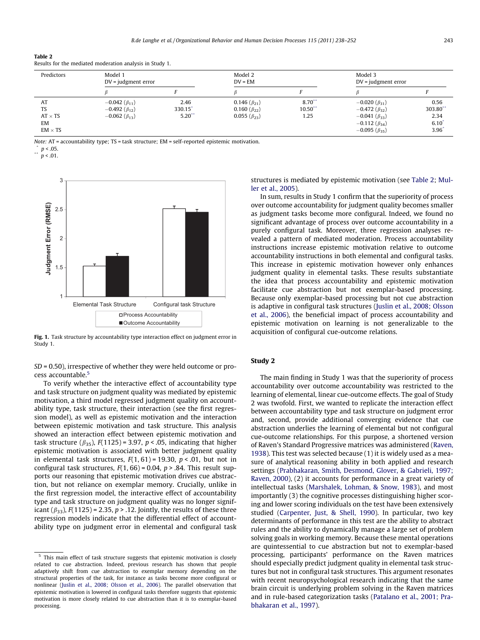<span id="page-5-0"></span>

| Table 2                                                  |
|----------------------------------------------------------|
| Results for the mediated moderation analysis in Study 1. |

| Predictors                                                | Model 1<br>$DV = judgment error$                                                    |                        | Model 2<br>$DV = EM$                                                 |                               | Model 3<br>$DV = judgment error$                                                                                                              |                                                      |
|-----------------------------------------------------------|-------------------------------------------------------------------------------------|------------------------|----------------------------------------------------------------------|-------------------------------|-----------------------------------------------------------------------------------------------------------------------------------------------|------------------------------------------------------|
|                                                           |                                                                                     |                        |                                                                      |                               |                                                                                                                                               |                                                      |
| AT<br><b>TS</b><br>$AT \times TS$<br>EM<br>$EM \times TS$ | $-0.042$ ( $\beta_{11}$ )<br>$-0.492$ ( $\beta_{12}$ )<br>$-0.062$ ( $\beta_{13}$ ) | 2.46<br>330.15<br>5.20 | 0.146 $(\beta_{21})$<br>0.160 $(\beta_{22})$<br>$0.055~(\beta_{23})$ | $8.70^*$<br>$10.50^*$<br>1.25 | $-0.020$ ( $\beta_{31}$ )<br>$-0.472$ ( $\beta_{32}$ )<br>$-0.041$ ( $\beta_{33}$ )<br>$-0.112$ ( $\beta_{34}$ )<br>$-0.095$ ( $\beta_{35}$ ) | 0.56<br>303.80**<br>2.34<br>$6.10^{\degree}$<br>3.96 |

Note: AT = accountability type; TS = task structure; EM = self-reported epistemic motivation.

 $p < .05$ .

 $p < .01$ .



Fig. 1. Task structure by accountability type interaction effect on judgment error in Study 1.

SD = 0.50), irrespective of whether they were held outcome or process accountable.<sup>5</sup>

To verify whether the interactive effect of accountability type and task structure on judgment quality was mediated by epistemic motivation, a third model regressed judgment quality on accountability type, task structure, their interaction (see the first regression model), as well as epistemic motivation and the interaction between epistemic motivation and task structure. This analysis showed an interaction effect between epistemic motivation and task structure ( $\beta_{35}$ ),  $F(1125) = 3.97$ ,  $p < .05$ , indicating that higher epistemic motivation is associated with better judgment quality in elemental task structures,  $F(1, 61) = 19.30$ ,  $p < .01$ , but not in configural task structures,  $F(1, 66) = 0.04$ ,  $p > .84$ . This result supports our reasoning that epistemic motivation drives cue abstraction, but not reliance on exemplar memory. Crucially, unlike in the first regression model, the interactive effect of accountability type and task structure on judgment quality was no longer significant ( $\beta_{33}$ ),  $F(1125) = 2.35$ ,  $p > .12$ . Jointly, the results of these three regression models indicate that the differential effect of accountability type on judgment error in elemental and configural task structures is mediated by epistemic motivation (see Table 2; [Mul](#page-13-0)[ler et al., 2005](#page-13-0)).

In sum, results in Study 1 confirm that the superiority of process over outcome accountability for judgment quality becomes smaller as judgment tasks become more configural. Indeed, we found no significant advantage of process over outcome accountability in a purely configural task. Moreover, three regression analyses revealed a pattern of mediated moderation. Process accountability instructions increase epistemic motivation relative to outcome accountability instructions in both elemental and configural tasks. This increase in epistemic motivation however only enhances judgment quality in elemental tasks. These results substantiate the idea that process accountability and epistemic motivation facilitate cue abstraction but not exemplar-based processing. Because only exemplar-based processing but not cue abstraction is adaptive in configural task structures ([Juslin et al., 2008; Olsson](#page-13-0) [et al., 2006](#page-13-0)), the beneficial impact of process accountability and epistemic motivation on learning is not generalizable to the acquisition of configural cue-outcome relations.

# Study 2

The main finding in Study 1 was that the superiority of process accountability over outcome accountability was restricted to the learning of elemental, linear cue-outcome effects. The goal of Study 2 was twofold. First, we wanted to replicate the interaction effect between accountability type and task structure on judgment error and, second, provide additional converging evidence that cue abstraction underlies the learning of elemental but not configural cue-outcome relationships. For this purpose, a shortened version of Raven's Standard Progressive matrices was administered ([Raven,](#page-13-0) [1938\)](#page-13-0). This test was selected because (1) it is widely used as a measure of analytical reasoning ability in both applied and research settings [\(Prabhakaran, Smith, Desmond, Glover, & Gabrieli, 1997;](#page-13-0) [Raven, 2000\)](#page-13-0), (2) it accounts for performance in a great variety of intellectual tasks [\(Marshalek, Lohman, & Snow, 1983\)](#page-13-0), and most importantly (3) the cognitive processes distinguishing higher scoring and lower scoring individuals on the test have been extensively studied [\(Carpenter, Just, & Shell, 1990](#page-13-0)). In particular, two key determinants of performance in this test are the ability to abstract rules and the ability to dynamically manage a large set of problem solving goals in working memory. Because these mental operations are quintessential to cue abstraction but not to exemplar-based processing, participants' performance on the Raven matrices should especially predict judgment quality in elemental task structures but not in configural task structures. This argument resonates with recent neuropsychological research indicating that the same brain circuit is underlying problem solving in the Raven matrices and in rule-based categorization tasks [\(Patalano et al., 2001; Pra](#page-13-0)[bhakaran et al., 1997\)](#page-13-0).

<sup>&</sup>lt;sup>5</sup> This main effect of task structure suggests that epistemic motivation is closely related to cue abstraction. Indeed, previous research has shown that people adaptively shift from cue abstraction to exemplar memory depending on the structural properties of the task, for instance as tasks become more configural or nonlinear ([Juslin et al., 2008; Olsson et al., 2006](#page-13-0)). The parallel observation that epistemic motivation is lowered in configural tasks therefore suggests that epistemic motivation is more closely related to cue abstraction than it is to exemplar-based processing.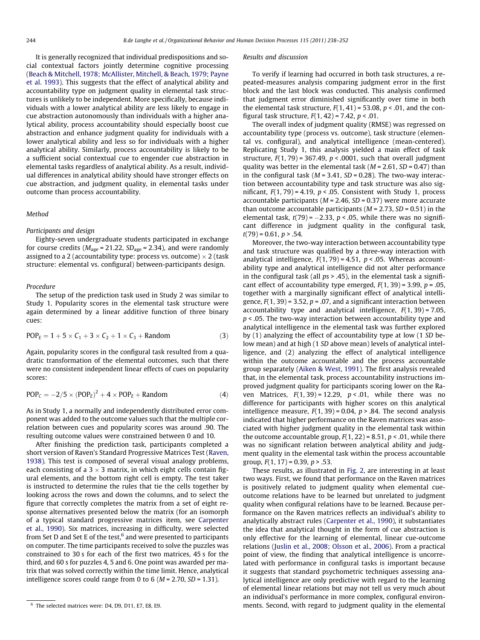It is generally recognized that individual predispositions and social contextual factors jointly determine cognitive processing ([Beach & Mitchell, 1978; McAllister, Mitchell, & Beach, 1979; Payne](#page-13-0) [et al. 1993\)](#page-13-0). This suggests that the effect of analytical ability and accountability type on judgment quality in elemental task structures is unlikely to be independent. More specifically, because individuals with a lower analytical ability are less likely to engage in cue abstraction autonomously than individuals with a higher analytical ability, process accountability should especially boost cue abstraction and enhance judgment quality for individuals with a lower analytical ability and less so for individuals with a higher analytical ability. Similarly, process accountability is likely to be a sufficient social contextual cue to engender cue abstraction in elemental tasks regardless of analytical ability. As a result, individual differences in analytical ability should have stronger effects on cue abstraction, and judgment quality, in elemental tasks under outcome than process accountability.

# Method

# Participants and design

Eighty-seven undergraduate students participated in exchange for course credits ( $M_{\text{age}}$  = 21.22,  $SD_{\text{age}}$  = 2.34), and were randomly assigned to a 2 (accountability type: process vs. outcome)  $\times$  2 (task structure: elemental vs. configural) between-participants design.

#### Procedure

The setup of the prediction task used in Study 2 was similar to Study 1. Popularity scores in the elemental task structure were again determined by a linear additive function of three binary cues:

$$
POP_E = 1 + 5 \times C_1 + 3 \times C_2 + 1 \times C_3 + Random \tag{3}
$$

Again, popularity scores in the configural task resulted from a quadratic transformation of the elemental outcomes, such that there were no consistent independent linear effects of cues on popularity scores:

$$
POP_C = -2/5 \times (POP_E)^2 + 4 \times POP_E + Random \tag{4}
$$

As in Study 1, a normally and independently distributed error component was added to the outcome values such that the multiple correlation between cues and popularity scores was around .90. The resulting outcome values were constrained between 0 and 10.

After finishing the prediction task, participants completed a short version of Raven's Standard Progressive Matrices Test [\(Raven,](#page-13-0) [1938\)](#page-13-0). This test is composed of several visual analogy problems, each consisting of a 3  $\times$  3 matrix, in which eight cells contain figural elements, and the bottom right cell is empty. The test taker is instructed to determine the rules that tie the cells together by looking across the rows and down the columns, and to select the figure that correctly completes the matrix from a set of eight response alternatives presented below the matrix (for an isomorph of a typical standard progressive matrices item, see [Carpenter](#page-13-0) [et al., 1990\)](#page-13-0). Six matrices, increasing in difficulty, were selected from Set D and Set E of the test, $6$  and were presented to participants on computer. The time participants received to solve the puzzles was constrained to 30 s for each of the first two matrices, 45 s for the third, and 60 s for puzzles 4, 5 and 6. One point was awarded per matrix that was solved correctly within the time limit. Hence, analytical intelligence scores could range from 0 to 6 ( $M = 2.70$ ,  $SD = 1.31$ ).

#### Results and discussion

To verify if learning had occurred in both task structures, a repeated-measures analysis comparing judgment error in the first block and the last block was conducted. This analysis confirmed that judgment error diminished significantly over time in both the elemental task structure,  $F(1, 41) = 53.08$ ,  $p < .01$ , and the configural task structure,  $F(1, 42) = 7.42$ ,  $p < .01$ .

The overall index of judgment quality (RMSE) was regressed on accountability type (process vs. outcome), task structure (elemental vs. configural), and analytical intelligence (mean-centered). Replicating Study 1, this analysis yielded a main effect of task structure,  $F(1, 79) = 367.49$ ,  $p < .0001$ , such that overall judgment quality was better in the elemental task ( $M = 2.61$ ,  $SD = 0.47$ ) than in the configural task ( $M = 3.41$ ,  $SD = 0.28$ ). The two-way interaction between accountability type and task structure was also significant,  $F(1, 79) = 4.19$ ,  $p < .05$ . Consistent with Study 1, process accountable participants ( $M = 2.46$ ,  $SD = 0.37$ ) were more accurate than outcome accountable participants ( $M = 2.73$ ,  $SD = 0.51$ ) in the elemental task,  $t(79) = -2.33$ ,  $p < .05$ , while there was no significant difference in judgment quality in the configural task,  $t(79) = 0.61, p > .54.$ 

Moreover, the two-way interaction between accountability type and task structure was qualified by a three-way interaction with analytical intelligence,  $F(1, 79) = 4.51$ ,  $p < .05$ . Whereas accountability type and analytical intelligence did not alter performance in the configural task (all  $ps > .45$ ), in the elemental task a significant effect of accountability type emerged,  $F(1, 39) = 3.99$ ,  $p = .05$ , together with a marginally significant effect of analytical intelligence,  $F(1, 39)$  = 3.52,  $p = 0.07$ , and a significant interaction between accountability type and analytical intelligence,  $F(1, 39) = 7.05$ ,  $p$  < .05. The two-way interaction between accountability type and analytical intelligence in the elemental task was further explored by (1) analyzing the effect of accountability type at low (1 SD below mean) and at high (1 SD above mean) levels of analytical intelligence, and (2) analyzing the effect of analytical intelligence within the outcome accountable and the process accountable group separately ([Aiken & West, 1991](#page-13-0)). The first analysis revealed that, in the elemental task, process accountability instructions improved judgment quality for participants scoring lower on the Raven Matrices,  $F(1, 39) = 12.29$ ,  $p < .01$ , while there was no difference for participants with higher scores on this analytical intelligence measure,  $F(1, 39) = 0.04$ ,  $p > .84$ . The second analysis indicated that higher performance on the Raven matrices was associated with higher judgment quality in the elemental task within the outcome accountable group,  $F(1, 22) = 8.51$ ,  $p < .01$ , while there was no significant relation between analytical ability and judgment quality in the elemental task within the process accountable group,  $F(1, 17) = 0.39$ ,  $p > .53$ .

These results, as illustrated in [Fig. 2](#page-7-0), are interesting in at least two ways. First, we found that performance on the Raven matrices is positively related to judgment quality when elemental cueoutcome relations have to be learned but unrelated to judgment quality when configural relations have to be learned. Because performance on the Raven matrices reflects an individual's ability to analytically abstract rules [\(Carpenter et al., 1990](#page-13-0)), it substantiates the idea that analytical thought in the form of cue abstraction is only effective for the learning of elemental, linear cue-outcome relations ([Juslin et al., 2008; Olsson et al., 2006\)](#page-13-0). From a practical point of view, the finding that analytical intelligence is uncorrelated with performance in configural tasks is important because it suggests that standard psychometric techniques assessing analytical intelligence are only predictive with regard to the learning of elemental linear relations but may not tell us very much about an individual's performance in more complex, configural environ-<sup>6</sup> The selected matrices were: D4, D9, D11, E7, E8, E9. *ments. Second, with regard to judgment quality in the elemental*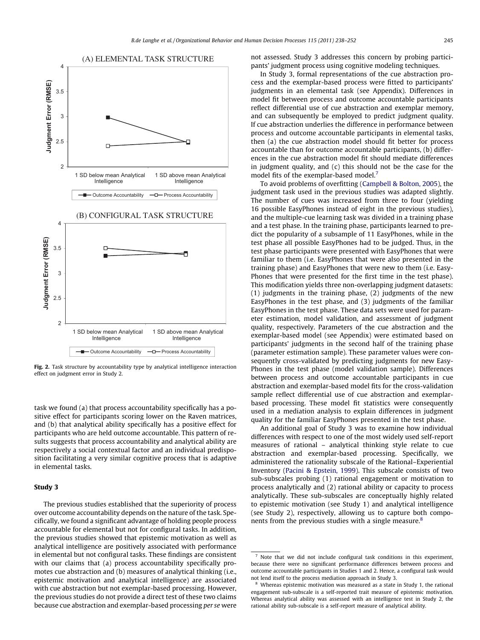<span id="page-7-0"></span>

Fig. 2. Task structure by accountability type by analytical intelligence interaction effect on judgment error in Study 2.

task we found (a) that process accountability specifically has a positive effect for participants scoring lower on the Raven matrices, and (b) that analytical ability specifically has a positive effect for participants who are held outcome accountable. This pattern of results suggests that process accountability and analytical ability are respectively a social contextual factor and an individual predisposition facilitating a very similar cognitive process that is adaptive in elemental tasks.

# Study 3

The previous studies established that the superiority of process over outcome accountability depends on the nature of the task. Specifically, we found a significant advantage of holding people process accountable for elemental but not for configural tasks. In addition, the previous studies showed that epistemic motivation as well as analytical intelligence are positively associated with performance in elemental but not configural tasks. These findings are consistent with our claims that (a) process accountability specifically promotes cue abstraction and (b) measures of analytical thinking (i.e., epistemic motivation and analytical intelligence) are associated with cue abstraction but not exemplar-based processing. However, the previous studies do not provide a direct test of these two claims because cue abstraction and exemplar-based processing per se were not assessed. Study 3 addresses this concern by probing participants' judgment process using cognitive modeling techniques.

In Study 3, formal representations of the cue abstraction process and the exemplar-based process were fitted to participants' judgments in an elemental task (see Appendix). Differences in model fit between process and outcome accountable participants reflect differential use of cue abstraction and exemplar memory, and can subsequently be employed to predict judgment quality. If cue abstraction underlies the difference in performance between process and outcome accountable participants in elemental tasks, then (a) the cue abstraction model should fit better for process accountable than for outcome accountable participants, (b) differences in the cue abstraction model fit should mediate differences in judgment quality, and (c) this should not be the case for the model fits of the exemplar-based model.<sup>7</sup>

To avoid problems of overfitting ([Campbell & Bolton, 2005](#page-13-0)), the judgment task used in the previous studies was adapted slightly. The number of cues was increased from three to four (yielding 16 possible EasyPhones instead of eight in the previous studies), and the multiple-cue learning task was divided in a training phase and a test phase. In the training phase, participants learned to predict the popularity of a subsample of 11 EasyPhones, while in the test phase all possible EasyPhones had to be judged. Thus, in the test phase participants were presented with EasyPhones that were familiar to them (i.e. EasyPhones that were also presented in the training phase) and EasyPhones that were new to them (i.e. Easy-Phones that were presented for the first time in the test phase). This modification yields three non-overlapping judgment datasets: (1) judgments in the training phase, (2) judgments of the new EasyPhones in the test phase, and (3) judgments of the familiar EasyPhones in the test phase. These data sets were used for parameter estimation, model validation, and assessment of judgment quality, respectively. Parameters of the cue abstraction and the exemplar-based model (see Appendix) were estimated based on participants' judgments in the second half of the training phase (parameter estimation sample). These parameter values were consequently cross-validated by predicting judgments for new Easy-Phones in the test phase (model validation sample). Differences between process and outcome accountable participants in cue abstraction and exemplar-based model fits for the cross-validation sample reflect differential use of cue abstraction and exemplarbased processing. These model fit statistics were consequently used in a mediation analysis to explain differences in judgment quality for the familiar EasyPhones presented in the test phase.

An additional goal of Study 3 was to examine how individual differences with respect to one of the most widely used self-report measures of rational – analytical thinking style relate to cue abstraction and exemplar-based processing. Specifically, we administered the rationality subscale of the Rational–Experiential Inventory ([Pacini & Epstein, 1999\)](#page-13-0). This subscale consists of two sub-subscales probing (1) rational engagement or motivation to process analytically and (2) rational ability or capacity to process analytically. These sub-subscales are conceptually highly related to epistemic motivation (see Study 1) and analytical intelligence (see Study 2), respectively, allowing us to capture both components from the previous studies with a single measure.<sup>8</sup>

 $<sup>7</sup>$  Note that we did not include configural task conditions in this experiment,</sup> because there were no significant performance differences between process and outcome accountable participants in Studies 1 and 2. Hence, a configural task would not lend itself to the process mediation approach in Study 3.

<sup>8</sup> Whereas epistemic motivation was measured as a state in Study 1, the rational engagement sub-subscale is a self-reported trait measure of epistemic motivation. Whereas analytical ability was assessed with an intelligence test in Study 2, the rational ability sub-subscale is a self-report measure of analytical ability.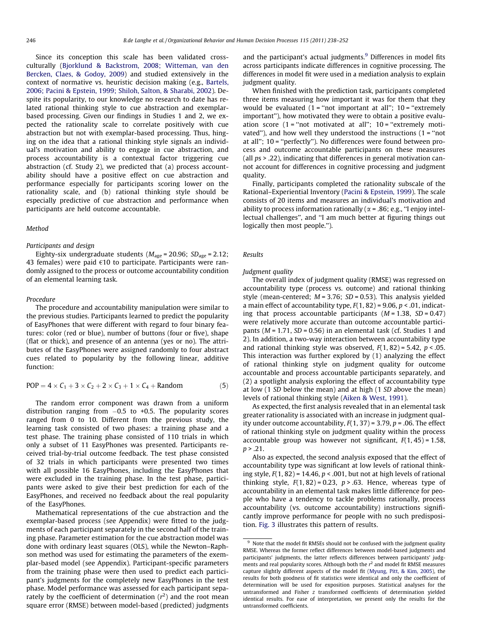Since its conception this scale has been validated crossculturally [\(Bjorklund & Backstrom, 2008; Witteman, van den](#page-13-0) [Bercken, Claes, & Godoy, 2009](#page-13-0)) and studied extensively in the context of normative vs. heuristic decision making (e.g., [Bartels,](#page-13-0) [2006; Pacini & Epstein, 1999; Shiloh, Salton, & Sharabi, 2002\)](#page-13-0). Despite its popularity, to our knowledge no research to date has related rational thinking style to cue abstraction and exemplarbased processing. Given our findings in Studies 1 and 2, we expected the rationality scale to correlate positively with cue abstraction but not with exemplar-based processing. Thus, hinging on the idea that a rational thinking style signals an individual's motivation and ability to engage in cue abstraction, and process accountability is a contextual factor triggering cue abstraction (cf. Study 2), we predicted that (a) process accountability should have a positive effect on cue abstraction and performance especially for participants scoring lower on the rationality scale, and (b) rational thinking style should be especially predictive of cue abstraction and performance when participants are held outcome accountable.

## Method

## Participants and design

Eighty-six undergraduate students ( $M_{\text{age}}$  = 20.96; SD<sub>age</sub> = 2.12; 43 females) were paid €10 to participate. Participants were randomly assigned to the process or outcome accountability condition of an elemental learning task.

## Procedure

The procedure and accountability manipulation were similar to the previous studies. Participants learned to predict the popularity of EasyPhones that were different with regard to four binary features: color (red or blue), number of buttons (four or five), shape (flat or thick), and presence of an antenna (yes or no). The attributes of the EasyPhones were assigned randomly to four abstract cues related to popularity by the following linear, additive function:

$$
POP = 4 \times C_1 + 3 \times C_2 + 2 \times C_3 + 1 \times C_4 + Random \tag{5}
$$

The random error component was drawn from a uniform distribution ranging from  $-0.5$  to  $+0.5$ . The popularity scores ranged from 0 to 10. Different from the previous study, the learning task consisted of two phases: a training phase and a test phase. The training phase consisted of 110 trials in which only a subset of 11 EasyPhones was presented. Participants received trial-by-trial outcome feedback. The test phase consisted of 32 trials in which participants were presented two times with all possible 16 EasyPhones, including the EasyPhones that were excluded in the training phase. In the test phase, participants were asked to give their best prediction for each of the EasyPhones, and received no feedback about the real popularity of the EasyPhones.

Mathematical representations of the cue abstraction and the exemplar-based process (see Appendix) were fitted to the judgments of each participant separately in the second half of the training phase. Parameter estimation for the cue abstraction model was done with ordinary least squares (OLS), while the Newton–Raphson method was used for estimating the parameters of the exemplar-based model (see Appendix). Participant-specific parameters from the training phase were then used to predict each participant's judgments for the completely new EasyPhones in the test phase. Model performance was assessed for each participant separately by the coefficient of determination  $(r^2)$  and the root mean square error (RMSE) between model-based (predicted) judgments

and the participant's actual judgments.<sup>9</sup> Differences in model fits across participants indicate differences in cognitive processing. The differences in model fit were used in a mediation analysis to explain judgment quality.

When finished with the prediction task, participants completed three items measuring how important it was for them that they would be evaluated  $(1 = "not important at all"; 10 = "extremely$ important''), how motivated they were to obtain a positive evaluation score  $(1 - "not motivated at all"; 10 = "extremely moti$ vated"), and how well they understood the instructions  $(1 - \text{``not}$ at all''; 10 = ''perfectly''). No differences were found between process and outcome accountable participants on these measures (all ps > .22), indicating that differences in general motivation cannot account for differences in cognitive processing and judgment quality.

Finally, participants completed the rationality subscale of the Rational–Experiential Inventory [\(Pacini & Epstein, 1999\)](#page-13-0). The scale consists of 20 items and measures an individual's motivation and ability to process information rationally ( $\alpha$  = .86; e.g., "I enjoy intellectual challenges'', and ''I am much better at figuring things out logically then most people.'').

## Results

#### Judgment quality

The overall index of judgment quality (RMSE) was regressed on accountability type (process vs. outcome) and rational thinking style (mean-centered;  $M = 3.76$ ;  $SD = 0.53$ ). This analysis yielded a main effect of accountability type,  $F(1, 82) = 9.06$ ,  $p < .01$ , indicating that process accountable participants  $(M = 1.38, SD = 0.47)$ were relatively more accurate than outcome accountable participants ( $M = 1.71$ ,  $SD = 0.56$ ) in an elemental task (cf. Studies 1 and 2). In addition, a two-way interaction between accountability type and rational thinking style was observed,  $F(1, 82) = 5.42$ ,  $p < .05$ . This interaction was further explored by (1) analyzing the effect of rational thinking style on judgment quality for outcome accountable and process accountable participants separately, and (2) a spotlight analysis exploring the effect of accountability type at low (1 SD below the mean) and at high (1 SD above the mean) levels of rational thinking style ([Aiken & West, 1991\)](#page-13-0).

As expected, the first analysis revealed that in an elemental task greater rationality is associated with an increase in judgment quality under outcome accountability,  $F(1, 37) = 3.79$ ,  $p = .06$ . The effect of rational thinking style on judgment quality within the process accountable group was however not significant,  $F(1, 45) = 1.58$ ,  $p > .21$ .

Also as expected, the second analysis exposed that the effect of accountability type was significant at low levels of rational thinking style,  $F(1, 82) = 14.46$ ,  $p < .001$ , but not at high levels of rational thinking style,  $F(1, 82) = 0.23$ ,  $p > .63$ . Hence, whereas type of accountability in an elemental task makes little difference for people who have a tendency to tackle problems rationally, process accountability (vs. outcome accountability) instructions significantly improve performance for people with no such predisposition. [Fig. 3](#page-9-0) illustrates this pattern of results.

 $9$  Note that the model fit RMSEs should not be confused with the judgment quality RMSE. Whereas the former reflect differences between model-based judgments and participants' judgments, the latter reflects differences between participants' judgments and real popularity scores. Although both the  $r<sup>2</sup>$  and model fit RMSE measures capture slightly different aspects of the model fit ([Myung, Pitt, & Kim, 2005\)](#page-13-0), the results for both goodness of fit statistics were identical and only the coefficient of determination will be used for exposition purposes. Statistical analyses for the untransformed and Fisher z transformed coefficients of determination yielded identical results. For ease of interpretation, we present only the results for the untransformed coefficients.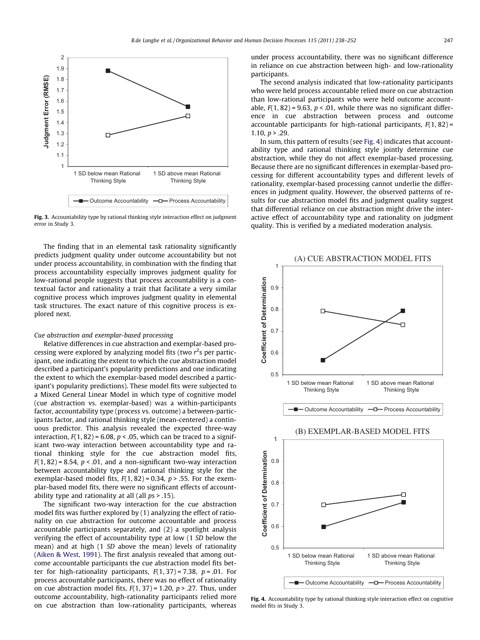<span id="page-9-0"></span>

Fig. 3. Accountability type by rational thinking style interaction effect on judgment error in Study 3.

The finding that in an elemental task rationality significantly predicts judgment quality under outcome accountability but not under process accountability, in combination with the finding that process accountability especially improves judgment quality for low-rational people suggests that process accountability is a contextual factor and rationality a trait that facilitate a very similar cognitive process which improves judgment quality in elemental task structures. The exact nature of this cognitive process is explored next.

## Cue abstraction and exemplar-based processing

Relative differences in cue abstraction and exemplar-based processing were explored by analyzing model fits (two  $r^2$ s per participant, one indicating the extent to which the cue abstraction model described a participant's popularity predictions and one indicating the extent to which the exemplar-based model described a participant's popularity predictions). These model fits were subjected to a Mixed General Linear Model in which type of cognitive model (cue abstraction vs. exemplar-based) was a within-participants factor, accountability type (process vs. outcome) a between-participants factor, and rational thinking style (mean-centered) a continuous predictor. This analysis revealed the expected three-way interaction,  $F(1, 82) = 6.08$ ,  $p < .05$ , which can be traced to a significant two-way interaction between accountability type and rational thinking style for the cue abstraction model fits,  $F(1, 82) = 8.54$ ,  $p < .01$ , and a non-significant two-way interaction between accountability type and rational thinking style for the exemplar-based model fits,  $F(1, 82) = 0.34$ ,  $p > .55$ . For the exemplar-based model fits, there were no significant effects of accountability type and rationality at all (all  $ps > .15$ ).

The significant two-way interaction for the cue abstraction model fits was further explored by (1) analyzing the effect of rationality on cue abstraction for outcome accountable and process accountable participants separately, and (2) a spotlight analysis verifying the effect of accountability type at low (1 SD below the mean) and at high (1 SD above the mean) levels of rationality ([Aiken & West, 1991](#page-13-0)). The first analysis revealed that among outcome accountable participants the cue abstraction model fits better for high-rationality participants,  $F(1, 37) = 7.38$ ,  $p = .01$ . For process accountable participants, there was no effect of rationality on cue abstraction model fits,  $F(1, 37) = 1.20$ ,  $p > .27$ . Thus, under outcome accountability, high-rationality participants relied more on cue abstraction than low-rationality participants, whereas under process accountability, there was no significant difference in reliance on cue abstraction between high- and low-rationality participants.

The second analysis indicated that low-rationality participants who were held process accountable relied more on cue abstraction than low-rational participants who were held outcome accountable,  $F(1, 82) = 9.63$ ,  $p < .01$ , while there was no significant difference in cue abstraction between process and outcome accountable participants for high-rational participants,  $F(1, 82) =$ 1.10,  $p > .29$ .

In sum, this pattern of results (see Fig. 4) indicates that accountability type and rational thinking style jointly determine cue abstraction, while they do not affect exemplar-based processing. Because there are no significant differences in exemplar-based processing for different accountability types and different levels of rationality, exemplar-based processing cannot underlie the differences in judgment quality. However, the observed patterns of results for cue abstraction model fits and judgment quality suggest that differential reliance on cue abstraction might drive the interactive effect of accountability type and rationality on judgment quality. This is verified by a mediated moderation analysis.



Fig. 4. Accountability type by rational thinking style interaction effect on cognitive model fits in Study 3.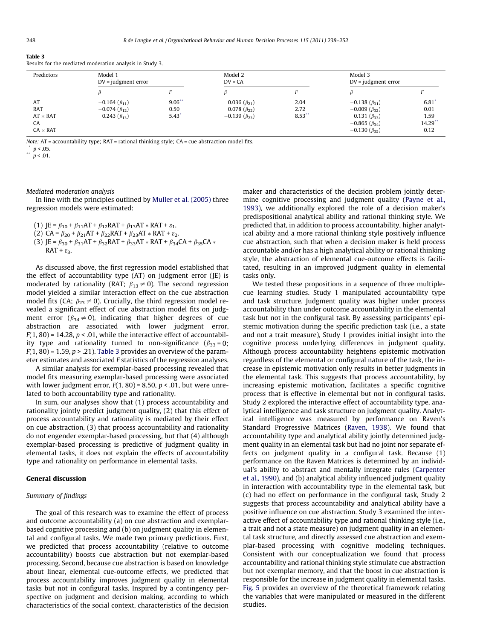| Predictors      | Model 1<br>$DV = judgment error$ |                      | Model 2<br>$DV = CA$      |      | Model 3<br>$DV = judgment error$ |            |
|-----------------|----------------------------------|----------------------|---------------------------|------|----------------------------------|------------|
|                 |                                  |                      |                           |      |                                  |            |
| AT              | $-0.164$ ( $\beta_{11}$ )        | $9.06$ <sup>**</sup> | 0.036 $(\beta_{21})$      | 2.04 | $-0.138$ ( $\beta_{31}$ )        | $6.81*$    |
| <b>RAT</b>      | $-0.074$ ( $\beta_{12}$ )        | 0.50                 | $0.078~(\beta_{22})$      | 2.72 | $-0.009$ ( $\beta_{32}$ )        | 0.01       |
| $AT \times RAT$ | 0.243 $(\beta_{13})$             | $5.43$ <sup>*</sup>  | $-0.139$ ( $\beta_{23}$ ) | 8.53 | 0.131 $(\beta_{33})$             | 1.59       |
| CA              |                                  |                      |                           |      | $-0.865$ ( $\beta_{34}$ )        | $14.29$ ** |
| $CA \times RAT$ |                                  |                      |                           |      | $-0.130$ ( $\beta_{35}$ )        | 0.12       |

Table 3 Results for the mediated moderation analysis in Study 3.

Note: AT = accountability type; RAT = rational thinking style; CA = cue abstraction model fits.

 $\binom{p}{1}$  p < .05.  $p < .01$ .

Mediated moderation analysis

In line with the principles outlined by [Muller et al. \(2005\)](#page-13-0) three regression models were estimated:

(1) 
$$
JE = \beta_{10} + \beta_{11}AT + \beta_{12}RAT + \beta_{13}AT * RAT + \varepsilon_1.
$$

(2) CA = 
$$
\beta_{20} + \beta_{21}AT + \beta_{22}RAT + \beta_{23}AT * RAT + \varepsilon_2
$$
.

(3) JE =  $\beta_{30}$  +  $\beta_{31}$ AT +  $\beta_{32}$ RAT +  $\beta_{33}$ AT \* RAT +  $\beta_{34}$ CA +  $\beta_{35}$ CA \*  $RAT + \varepsilon_3$ .

As discussed above, the first regression model established that the effect of accountability type (AT) on judgment error (JE) is moderated by rationality (RAT;  $\beta_{13} \neq 0$ ). The second regression model yielded a similar interaction effect on the cue abstraction model fits (CA;  $\beta_{23} \neq 0$ ). Crucially, the third regression model revealed a significant effect of cue abstraction model fits on judgment error ( $\beta_{34} \neq 0$ ), indicating that higher degrees of cue abstraction are associated with lower judgment error,  $F(1, 80)$  = 14.28,  $p < .01$ , while the interactive effect of accountability type and rationality turned to non-significance ( $\beta_{33} = 0$ ;  $F(1, 80) = 1.59$ ,  $p > 0.21$ . Table 3 provides an overview of the parameter estimates and associated F statistics of the regression analyses.

A similar analysis for exemplar-based processing revealed that model fits measuring exemplar-based processing were associated with lower judgment error,  $F(1, 80) = 8.50$ ,  $p < .01$ , but were unrelated to both accountability type and rationality.

In sum, our analyses show that (1) process accountability and rationality jointly predict judgment quality, (2) that this effect of process accountability and rationality is mediated by their effect on cue abstraction, (3) that process accountability and rationality do not engender exemplar-based processing, but that (4) although exemplar-based processing is predictive of judgment quality in elemental tasks, it does not explain the effects of accountability type and rationality on performance in elemental tasks.

# General discussion

## Summary of findings

The goal of this research was to examine the effect of process and outcome accountability (a) on cue abstraction and exemplarbased cognitive processing and (b) on judgment quality in elemental and configural tasks. We made two primary predictions. First, we predicted that process accountability (relative to outcome accountability) boosts cue abstraction but not exemplar-based processing. Second, because cue abstraction is based on knowledge about linear, elemental cue-outcome effects, we predicted that process accountability improves judgment quality in elemental tasks but not in configural tasks. Inspired by a contingency perspective on judgment and decision making, according to which characteristics of the social context, characteristics of the decision

maker and characteristics of the decision problem jointly determine cognitive processing and judgment quality [\(Payne et al.,](#page-13-0) [1993\)](#page-13-0), we additionally explored the role of a decision maker's predispositional analytical ability and rational thinking style. We predicted that, in addition to process accountability, higher analytical ability and a more rational thinking style positively influence cue abstraction, such that when a decision maker is held process accountable and/or has a high analytical ability or rational thinking style, the abstraction of elemental cue-outcome effects is facilitated, resulting in an improved judgment quality in elemental tasks only.

We tested these propositions in a sequence of three multiplecue learning studies. Study 1 manipulated accountability type and task structure. Judgment quality was higher under process accountability than under outcome accountability in the elemental task but not in the configural task. By assessing participants' epistemic motivation during the specific prediction task (i.e., a state and not a trait measure), Study 1 provides initial insight into the cognitive process underlying differences in judgment quality. Although process accountability heightens epistemic motivation regardless of the elemental or configural nature of the task, the increase in epistemic motivation only results in better judgments in the elemental task. This suggests that process accountability, by increasing epistemic motivation, facilitates a specific cognitive process that is effective in elemental but not in configural tasks. Study 2 explored the interactive effect of accountability type, analytical intelligence and task structure on judgment quality. Analytical intelligence was measured by performance on Raven's Standard Progressive Matrices [\(Raven, 1938\)](#page-13-0). We found that accountability type and analytical ability jointly determined judgment quality in an elemental task but had no joint nor separate effects on judgment quality in a configural task. Because (1) performance on the Raven Matrices is determined by an individual's ability to abstract and mentally integrate rules ([Carpenter](#page-13-0) [et al., 1990](#page-13-0)), and (b) analytical ability influenced judgment quality in interaction with accountability type in the elemental task, but (c) had no effect on performance in the configural task, Study 2 suggests that process accountability and analytical ability have a positive influence on cue abstraction. Study 3 examined the interactive effect of accountability type and rational thinking style (i.e., a trait and not a state measure) on judgment quality in an elemental task structure, and directly assessed cue abstraction and exemplar-based processing with cognitive modeling techniques. Consistent with our conceptualization we found that process accountability and rational thinking style stimulate cue abstraction but not exemplar memory, and that the boost in cue abstraction is responsible for the increase in judgment quality in elemental tasks. [Fig. 5](#page-11-0) provides an overview of the theoretical framework relating the variables that were manipulated or measured in the different studies.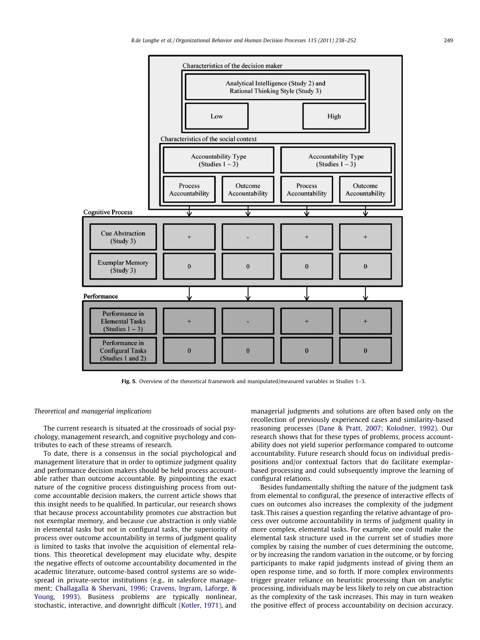<span id="page-11-0"></span>

Fig. 5. Overview of the theoretical framework and manipulated/measured variables in Studies 1–3.

# Theoretical and managerial implications

The current research is situated at the crossroads of social psychology, management research, and cognitive psychology and contributes to each of these streams of research.

To date, there is a consensus in the social psychological and management literature that in order to optimize judgment quality and performance decision makers should be held process accountable rather than outcome accountable. By pinpointing the exact nature of the cognitive process distinguishing process from outcome accountable decision makers, the current article shows that this insight needs to be qualified. In particular, our research shows that because process accountability promotes cue abstraction but not exemplar memory, and because cue abstraction is only viable in elemental tasks but not in configural tasks, the superiority of process over outcome accountability in terms of judgment quality is limited to tasks that involve the acquisition of elemental relations. This theoretical development may elucidate why, despite the negative effects of outcome accountability documented in the academic literature, outcome-based control systems are so widespread in private-sector institutions (e.g., in salesforce management; [Challagalla & Shervani, 1996; Cravens, Ingram, Laforge, &](#page-13-0) [Young, 1993\)](#page-13-0). Business problems are typically nonlinear, stochastic, interactive, and downright difficult ([Kotler, 1971\)](#page-13-0), and managerial judgments and solutions are often based only on the recollection of previously experienced cases and similarity-based reasoning processes [\(Dane & Pratt, 2007; Kolodner, 1992](#page-13-0)). Our research shows that for these types of problems, process accountability does not yield superior performance compared to outcome accountability. Future research should focus on individual predispositions and/or contextual factors that do facilitate exemplarbased processing and could subsequently improve the learning of configural relations.

Besides fundamentally shifting the nature of the judgment task from elemental to configural, the presence of interactive effects of cues on outcomes also increases the complexity of the judgment task. This raises a question regarding the relative advantage of process over outcome accountability in terms of judgment quality in more complex, elemental tasks. For example, one could make the elemental task structure used in the current set of studies more complex by raising the number of cues determining the outcome, or by increasing the random variation in the outcome, or by forcing participants to make rapid judgments instead of giving them an open response time, and so forth. If more complex environments trigger greater reliance on heuristic processing than on analytic processing, individuals may be less likely to rely on cue abstraction as the complexity of the task increases. This may in turn weaken the positive effect of process accountability on decision accuracy.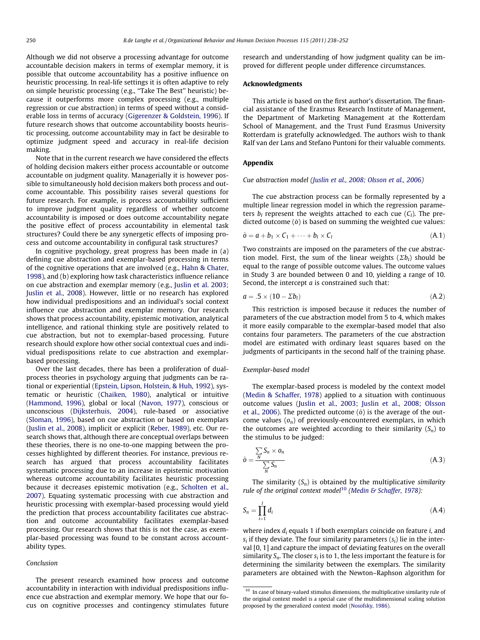Although we did not observe a processing advantage for outcome accountable decision makers in terms of exemplar memory, it is possible that outcome accountability has a positive influence on heuristic processing. In real-life settings it is often adaptive to rely on simple heuristic processing (e.g., ''Take The Best'' heuristic) because it outperforms more complex processing (e.g., multiple regression or cue abstraction) in terms of speed without a considerable loss in terms of accuracy [\(Gigerenzer & Goldstein, 1996\)](#page-13-0). If future research shows that outcome accountability boosts heuristic processing, outcome accountability may in fact be desirable to optimize judgment speed and accuracy in real-life decision making.

Note that in the current research we have considered the effects of holding decision makers either process accountable or outcome accountable on judgment quality. Managerially it is however possible to simultaneously hold decision makers both process and outcome accountable. This possibility raises several questions for future research. For example, is process accountability sufficient to improve judgment quality regardless of whether outcome accountability is imposed or does outcome accountability negate the positive effect of process accountability in elemental task structures? Could there be any synergetic effects of imposing process and outcome accountability in configural task structures?

In cognitive psychology, great progress has been made in (a) defining cue abstraction and exemplar-based processing in terms of the cognitive operations that are involved (e.g., [Hahn & Chater,](#page-13-0) [1998\)](#page-13-0), and (b) exploring how task characteristics influence reliance on cue abstraction and exemplar memory (e.g., [Juslin et al. 2003;](#page-13-0) [Juslin et al., 2008](#page-13-0)). However, little or no research has explored how individual predispositions and an individual's social context influence cue abstraction and exemplar memory. Our research shows that process accountability, epistemic motivation, analytical intelligence, and rational thinking style are positively related to cue abstraction, but not to exemplar-based processing. Future research should explore how other social contextual cues and individual predispositions relate to cue abstraction and exemplarbased processing.

Over the last decades, there has been a proliferation of dualprocess theories in psychology arguing that judgments can be rational or experiential ([Epstein, Lipson, Holstein, & Huh, 1992](#page-13-0)), systematic or heuristic ([Chaiken, 1980\)](#page-13-0), analytical or intuitive ([Hammond, 1996](#page-13-0)), global or local ([Navon, 1977](#page-13-0)), conscious or unconscious ([Dijksterhuis, 2004](#page-13-0)), rule-based or associative ([Sloman, 1996\)](#page-14-0), based on cue abstraction or based on exemplars ([Juslin et al., 2008](#page-13-0)), implicit or explicit ([Reber, 1989](#page-13-0)), etc. Our research shows that, although there are conceptual overlaps between these theories, there is no one-to-one mapping between the processes highlighted by different theories. For instance, previous research has argued that process accountability facilitates systematic processing due to an increase in epistemic motivation whereas outcome accountability facilitates heuristic processing because it decreases epistemic motivation (e.g., [Scholten et al.,](#page-14-0) [2007\)](#page-14-0). Equating systematic processing with cue abstraction and heuristic processing with exemplar-based processing would yield the prediction that process accountability facilitates cue abstraction and outcome accountability facilitates exemplar-based processing. Our research shows that this is not the case, as exemplar-based processing was found to be constant across accountability types.

## Conclusion

The present research examined how process and outcome accountability in interaction with individual predispositions influence cue abstraction and exemplar memory. We hope that our focus on cognitive processes and contingency stimulates future

research and understanding of how judgment quality can be improved for different people under difference circumstances.

## Acknowledgments

This article is based on the first author's dissertation. The financial assistance of the Erasmus Research Institute of Management, the Department of Marketing Management at the Rotterdam School of Management, and the Trust Fund Erasmus University Rotterdam is gratefully acknowledged. The authors wish to thank Ralf van der Lans and Stefano Puntoni for their valuable comments.

# Appendix

## Cue abstraction model [\(Juslin et al., 2008; Olsson et al., 2006\)](#page-13-0)

The cue abstraction process can be formally represented by a multiple linear regression model in which the regression parameters  $b<sub>I</sub>$  represent the weights attached to each cue  $(C<sub>I</sub>)$ . The predicted outcome  $(\hat{o})$  is based on summing the weighted cue values:

$$
\hat{o} = a + b_1 \times C_1 + \dots + b_I \times C_I \tag{A.1}
$$

Two constraints are imposed on the parameters of the cue abstraction model. First, the sum of the linear weights  $(\Sigma b_I)$  should be equal to the range of possible outcome values. The outcome values in Study 3 are bounded between 0 and 10, yielding a range of 10. Second, the intercept *a* is constrained such that:

$$
a = .5 \times (10 - \Sigma b_I) \tag{A.2}
$$

This restriction is imposed because it reduces the number of parameters of the cue abstraction model from 5 to 4, which makes it more easily comparable to the exemplar-based model that also contains four parameters. The parameters of the cue abstraction model are estimated with ordinary least squares based on the judgments of participants in the second half of the training phase.

#### Exemplar-based model

The exemplar-based process is modeled by the context model ([Medin & Schaffer, 1978](#page-13-0)) applied to a situation with continuous outcome values ([Juslin et al., 2003; Juslin et al., 2008; Olsson](#page-13-0) [et al., 2006](#page-13-0)). The predicted outcome  $(\hat{o})$  is the average of the outcome values  $(o_n)$  of previously-encountered exemplars, in which the outcomes are weighted according to their similarity  $(S_n)$  to the stimulus to be judged:

$$
\hat{o} = \frac{\sum_{N} S_n \times o_n}{\sum_{N} S_n}
$$
\n(A.3)

The similarity  $(S_n)$  is obtained by the multiplicative similarity rule of the original context model<sup>10</sup> ([Medin & Schaffer, 1978](#page-13-0)):

$$
S_n = \prod_{i=1}^l d_i \tag{A.4}
$$

where index  $d_i$  equals 1 if both exemplars coincide on feature *i*, and  $s_i$  if they deviate. The four similarity parameters  $(s_i)$  lie in the interval [0, 1] and capture the impact of deviating features on the overall similarity  $S_n$ . The closer  $s_i$  is to 1, the less important the feature is for determining the similarity between the exemplars. The similarity parameters are obtained with the Newton–Raphson algorithm for

 $10$  In case of binary-valued stimulus dimensions, the multiplicative similarity rule of the original context model is a special case of the multidimensional scaling solution proposed by the generalized context model ([Nosofsky, 1986\)](#page-13-0).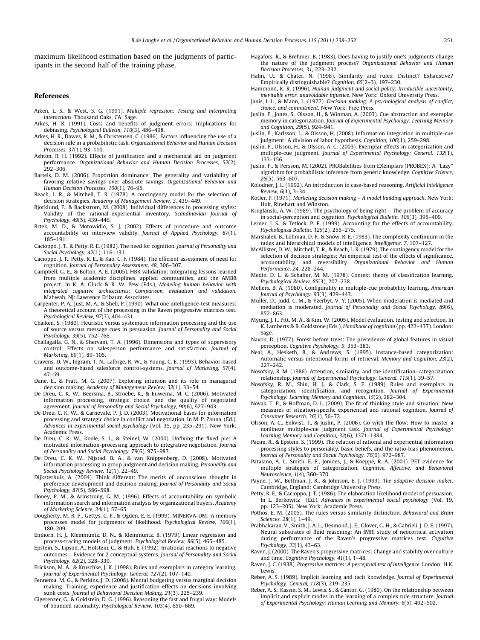<span id="page-13-0"></span>maximum likelihood estimation based on the judgments of participants in the second half of the training phase.

## References

- Aiken, L. S., & West, S. G. (1991). Multiple regression: Testing and interpreting interactions. Thousand Oaks, CA: Sage.
- Arkes, H. R. (1991). Costs and benefits of judgment errors: Implications for debiasing. Psychological Bulletin, 110(3), 486–498.
- Arkes, H. R., Dawes, R. M., & Christensen, C. (1986). Factors influencing the use of a decision rule in a probabilistic task. Organizational Behavior and Human Decision Processes, 37(1), 93–110.
- Ashton, R. H. (1992). Effects of justification and a mechanical aid on judgment performance. Organizational Behavior and Human Decision Processes, 52(2), 292–306.
- Bartels, D. M. (2006). Proportion dominance: The generality and variability of favoring relative savings over absolute savings. Organizational Behavior and Human Decision Processes, 100(1), 76–95.
- Beach, L. R., & Mitchell, T. R. (1978). A contingency model for the selection of decision strategies. Academy of Management Review, 3, 439–449.
- Bjorklund, F., & Backstrom, M. (2008). Individual differences in processing styles: Validity of the rational–experiential inventory. Scandinavian Journal of Psychology, 49(5), 439–446.
- Brtek, M. D., & Motowidlo, S. J. (2002). Effects of procedure and outcome accountability on interview validity. Journal of Applied Psychology, 87(1), 185–191.
- Cacioppo, J. T., & Petty, R. E. (1982). The need for cognition. Journal of Personality and
- Social Psychology, 42(1), 116–131. Cacioppo, J. T., Petty, R. E., & Kao, C. F. (1984). The efficient assessment of need for cognition. Journal of Personality Assessment, 48, 306–307.
- Campbell, G. E., & Bolton, A. E. (2005). HBR validation: Integrating lessons learned from multiple academic disciplines, applied communities, and the AMBR project. In K. A. Gluck & R. W. Pew (Eds.), Modeling human behavior with integrated cognitive architectures: Comparison, evaluation and validation. Mahwah, NJ: Lawrence Erlbaum Associates.
- Carpenter, P. A., Just, M. A., & Shell, P. (1990). What one intelligence-test measures: A theoretical account of the processing in the Raven progressive matrices test. Psychological Review, 97(3), 404–431.
- Chaiken, S. (1980). Heuristic versus systematic information processing and the use of source versus message cues in persuasion. Journal of Personality and Social Psychology, 39(5), 752–766.
- Challagalla, G. N., & Shervani, T. A. (1996). Dimensions and types of supervisory control: Effects on salesperson performance and satisfaction. Journal of Marketing, 60(1), 89–105.
- Cravens, D. W., Ingram, T. N., Laforge, R. W., & Young, C. E. (1993). Behavior-based and outcome-based salesforce control-systems. Journal of Marketing, 57(4), 47–59.
- Dane, E., & Pratt, M. G. (2007). Exploring intuition and its role in managerial decision making. Academy of Management Review, 32(1), 33–54.
- De Dreu, C. K. W., Beersma, B., Stroebe, K., & Euwema, M. C. (2006). Motivated information processing, strategic choice, and the quality of negotiated agreement. Journal of Personality and Social Psychology, 90(6), 927–943.
- De Dreu, C. K. W., & Carnevale, P. J. D. (2003). Motivational bases for information processing and strategic choice in conflict and negotiation. In M. P. Zanna (Ed.). Advances in experimental social psychology (Vol. 35, pp. 235–291). New York: Academic Press.
- De Dreu, C. K. W., Koole, S. L., & Steinel, W. (2000). Unfixing the fixed pie: A motivated information-processing approach to integrative negotiation. Journal of Personality and Social Psychology, 79(6), 975–987.
- De Dreu, C. K. W., Nijstad, B. A., & van Knippenberg, D. (2008). Motivated information processing in group judgment and decision making. Personality and Social Psychology Review, 12(1), 22–49.
- Dijksterhuis, A. (2004). Think different: The merits of unconscious thought in preference development and decision making. Journal of Personality and Social Psychology, 87(5), 586–598.
- Doney, P. M., & Armstrong, G. M. (1996). Effects of accountability on symbolic information search and information analysis by organizational buyers. Academy of Marketing Science, 24(1), 57–65.
- Dougherty, M. R. P., Gettys, C. F., & Ogden, E. E. (1999). MINERVA-DM: A memory processes model for judgments of likelihood. Psychological Review, 106(1), 180–209.
- Einhorn, H. J., Kleinmuntz, D. N., & Kleinmuntz, B. (1979). Linear regression and process-tracing models of judgment. Psychological Review, 86(5), 465–485.
- Epstein, S., Lipson, A., Holstein, C., & Huh, E. (1992). Irrational reactions to negative outcomes – Evidence for 2 conceptual systems. Journal of Personality and Social Psychology, 62(2), 328–339.
- Erickson, M. A., & Kruschke, J. K. (1998). Rules and exemplars in category learning. Journal of Experimental Psychology: General, 127(2), 107–140.
- Fennema, M. G., & Perkins, J. D. (2008). Mental budgeting versus marginal decision making: Training, experience and justification effects on decisions involving sunk costs. Journal of Behavioral Decision Making, 21(3), 225–239.
- Gigerenzer, G., & Goldstein, D. G. (1996). Reasoning the fast and frugal way: Models of bounded rationality. Psychological Review, 103(4), 650–669.
- Hagafors, R., & Brehmer, B. (1983). Does having to justify one's judgments change the nature of the judgment process? Organizational Behavior and Human Decision Processes, 31, 223–232.
- Hahn, U., & Chater, N. (1998). Similarity and rules: Distinct? Exhaustive? Empirically distinguishable? Cognition, 65(2–3), 197–230.
- Hammond, K. R. (1996). Human judgment and social policy: Irreducible uncertainty, inevitable error, unavoidable injustice. New York: Oxford University Press.
- Janis, I. L., & Mann, L. (1977). Decision making: A psychological analysis of conflict, choice, and commitment. New York: Free Press.
- Juslin, P., Jones, S., Olsson, H., & Winman, A. (2003). Cue abstraction and exemplar memory in categorization. Journal of Experimental Psychology: Learning Memory and Cognition, 29(5), 924–941.
- Juslin, P., Karlsson, L., & Olsson, H. (2008). Information integration in multiple-cue judgment: A division of labor hypothesis. Cognition, 106(1), 259-298.
- Juslin, P., Olsson, H., & Olsson, A. C. (2003). Exemplar effects in categorization and multiple-cue judgment. Journal of Experimental Psychology: General, 132(1), 133–156.
- Juslin, P., & Persson, M. (2002). PROBabilities from EXemplars (PROBEX): A ''Lazy'' algorithm for probabilistic inference from generic knowledge. Cognitive Science, 26(5), 563–607.
- Kolodner, J. L. (1992). An introduction to case-based reasoning. Artificial Intelligence Review, 6(1), 3–34.
- Kotler, P. (1971). Marketing decision making A model building approach. New York: Holt, Rinehart and Winston.
- Kruglanski, A. W. (1989). The psychology of being right The problem of accuracy in social-perception and cognition. Psychological Bulletin, 106(3), 395–409.
- Lerner, J. S., & Tetlock, P. E. (1999). Accounting for the effects of accountability. Psychological Bulletin, 125(2), 255–275.
- Marshalek, B., Lohman, D. F., & Snow, R. E. (1983). The complexity continuum in the radex and hierarchical models of intelligence. Intelligence, 7, 107–127.
- McAllister, D. W., Mitchell, T. R., & Beach, L. R. (1979). The contingency model for the selection of decision strategies: An empirical test of the effects of significance, accountability, and reversibility. Organizational Behavior and Human Performance, 24, 228–244.
- Medin, D. L., & Schaffer, M. M. (1978). Context theory of classification learning. Psychological Review, 85(3), 207–238.
- Mellers, B. A. (1980). Configurality in multiple-cue probability learning. American Journal of Psychology, 93(3), 429–443.
- Muller, D., Judd, C. M., & Yzerbyt, V. Y. (2005). When moderation is mediated and mediation is moderated. Journal of Personality and Social Psychology, 89(6), 852–863.
- Myung, J. I., Pitt, M. A., & Kim, W. (2005). Model evaluation, testing and selection. In K. Lamberts & R. Goldstone (Eds.), Handbook of cognition (pp. 422–437). London: Sage.
- Navon, D. (1977). Forest before trees: The precedence of global features in visual perception. Cognitive Psychology, 9, 353–383.
- Neal, A., Hesketh, B., & Andrews, S. (1995). Instance-based categorization: Automatic versus intentional forms of retrieval. Memory and Cognition, 23(2), 227–242.
- Nosofsky, R. M. (1986). Attention, similarity, and the identification–categorization relationship. Journal of Experimental Psychology: General, 115(1), 39–57.
- Nosofsky, R. M., Shin, H. J., & Clark, S. E. (1989). Rules and exemplars in categorization, identification, and recognition. Journal of Experimental Psychology: Learning Memory and Cognition, 15(2), 282–304.
- Novak, T. P., & Hoffman, D. L. (2009). The fit of thinking style and situation: New measures of situation-specific experiential and rational cognition. Journal of Consumer Research, 36(1), 56–72.
- Olsson, A. C., Enkvist, T., & Juslin, P. (2006). Go with the flow: How to master a nonlinear multiple-cue judgment task. Journal of Experimental Psychology: Learning Memory and Cognition, 32(6), 1371–1384.
- Pacini, R., & Epstein, S. (1999). The relation of rational and experiential information processing styles to personality, basic beliefs, and the ratio-bias phenomenon. Journal of Personality and Social Psychology, 76(6), 972–987.
- Patalano, A. L., Smith, E. E., Jonides, J., & Koeppe, R. A. (2001). PET evidence for multiple strategies of categorization. Cognitive, Affective, and Behavioral Neuroscience, 1(4), 360–370.
- Payne, J. W., Bettman, J. R., & Johnson, E. J. (1993). The adaptive decision maker. Cambridge, England: Cambridge University Press.
- Petty, R. E., & Cacioppo, J. T. (1986). The elaboration likelihood model of persuasion. In L. Berkowitz (Ed.). Advances in experimental social psychology (Vol. 19, pp. 123–205). New York: Academic Press.
- Pothos, E. M. (2005). The rules versus similarity distinction. Behavioral and Brain Sciences, 28(1), 1–49.
- Prabhakaran, V., Smith, J. A. L., Desmond, J. E., Glover, G. H., & Gabrieli, J. D. E. (1997). Neural substrates of fluid reasoning: An fMRI study of neocortical activation during performance of the Raven's progressive matrices test. Cognitive Psychology, 33(1), 43–63.
- Raven, J. (2000). The Raven's progressive matrices: Change and stability over culture and time. Cognitive Psychology, 41(1), 1–48.
- Raven, J. C. (1938). Progressive matrices: A perceptual test of intelligence. London: H.K. **Lewis**
- Reber, A. S. (1989). Implicit learning and tacit knowledge. Journal of Experimental Psychology: General, 118(3), 219–235.
- Reber, A. S., Kassin, S. M., Lewis, S., & Cantor, G. (1980). On the relationship between implicit and explicit modes in the learning of a complex rule structure. Journal of Experimental Psychology: Human Learning and Memory, 6(5), 492–502.